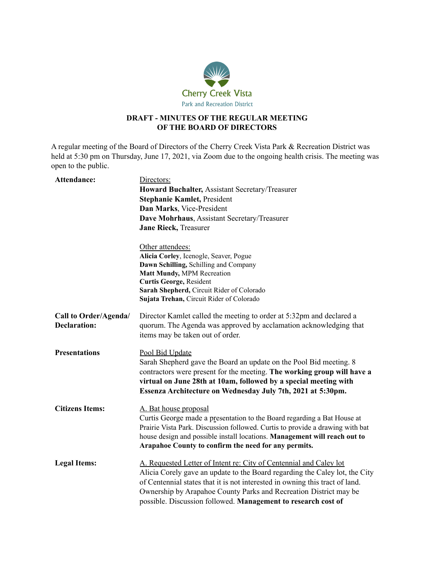

# **DRAFT - MINUTES OF THE REGULAR MEETING OF THE BOARD OF DIRECTORS**

A regular meeting of the Board of Directors of the Cherry Creek Vista Park & Recreation District was held at 5:30 pm on Thursday, June 17, 2021, via Zoom due to the ongoing health crisis. The meeting was open to the public.

| Attendance:                                  | Directors:<br>Howard Buchalter, Assistant Secretary/Treasurer<br><b>Stephanie Kamlet, President</b><br>Dan Marks, Vice-President<br>Dave Mohrhaus, Assistant Secretary/Treasurer<br>Jane Rieck, Treasurer                                                                                                                                                               |
|----------------------------------------------|-------------------------------------------------------------------------------------------------------------------------------------------------------------------------------------------------------------------------------------------------------------------------------------------------------------------------------------------------------------------------|
|                                              | Other attendees:<br>Alicia Corley, Icenogle, Seaver, Pogue<br>Dawn Schilling, Schilling and Company<br>Matt Mundy, MPM Recreation<br>Curtis George, Resident<br>Sarah Shepherd, Circuit Rider of Colorado<br>Sujata Trehan, Circuit Rider of Colorado                                                                                                                   |
| Call to Order/Agenda/<br><b>Declaration:</b> | Director Kamlet called the meeting to order at 5:32pm and declared a<br>quorum. The Agenda was approved by acclamation acknowledging that<br>items may be taken out of order.                                                                                                                                                                                           |
| <b>Presentations</b>                         | Pool Bid Update<br>Sarah Shepherd gave the Board an update on the Pool Bid meeting. 8<br>contractors were present for the meeting. The working group will have a<br>virtual on June 28th at 10am, followed by a special meeting with<br>Essenza Architecture on Wednesday July 7th, 2021 at 5:30pm.                                                                     |
| <b>Citizens Items:</b>                       | A. Bat house proposal<br>Curtis George made a presentation to the Board regarding a Bat House at<br>Prairie Vista Park. Discussion followed. Curtis to provide a drawing with bat<br>house design and possible install locations. Management will reach out to<br>Arapahoe County to confirm the need for any permits.                                                  |
| <b>Legal Items:</b>                          | A. Requested Letter of Intent re: City of Centennial and Caley lot<br>Alicia Corely gave an update to the Board regarding the Caley lot, the City<br>of Centennial states that it is not interested in owning this tract of land.<br>Ownership by Arapahoe County Parks and Recreation District may be<br>possible. Discussion followed. Management to research cost of |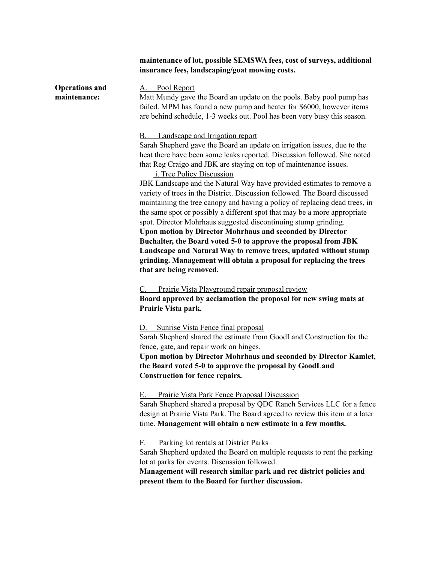## **maintenance of lot, possible SEMSWA fees, cost of surveys, additional insurance fees, landscaping/goat mowing costs.**

**Operations and maintenance:**

#### Pool Report

Matt Mundy gave the Board an update on the pools. Baby pool pump has failed. MPM has found a new pump and heater for \$6000, however items are behind schedule, 1-3 weeks out. Pool has been very busy this season.

### B. Landscape and Irrigation report

Sarah Shepherd gave the Board an update on irrigation issues, due to the heat there have been some leaks reported. Discussion followed. She noted that Reg Craigo and JBK are staying on top of maintenance issues.

## i. Tree Policy Discussion

JBK Landscape and the Natural Way have provided estimates to remove a variety of trees in the District. Discussion followed. The Board discussed maintaining the tree canopy and having a policy of replacing dead trees, in the same spot or possibly a different spot that may be a more appropriate spot. Director Mohrhaus suggested discontinuing stump grinding. **Upon motion by Director Mohrhaus and seconded by Director Buchalter, the Board voted 5-0 to approve the proposal from JBK Landscape and Natural Way to remove trees, updated without stump grinding. Management will obtain a proposal for replacing the trees that are being removed.**

C. Prairie Vista Playground repair proposal review **Board approved by acclamation the proposal for new swing mats at Prairie Vista park.**

D. Sunrise Vista Fence final proposal

Sarah Shepherd shared the estimate from GoodLand Construction for the fence, gate, and repair work on hinges.

**Upon motion by Director Mohrhaus and seconded by Director Kamlet, the Board voted 5-0 to approve the proposal by GoodLand Construction for fence repairs.**

### E. Prairie Vista Park Fence Proposal Discussion

Sarah Shepherd shared a proposal by QDC Ranch Services LLC for a fence design at Prairie Vista Park. The Board agreed to review this item at a later time. **Management will obtain a new estimate in a few months.**

### F. Parking lot rentals at District Parks

Sarah Shepherd updated the Board on multiple requests to rent the parking lot at parks for events. Discussion followed.

**Management will research similar park and rec district policies and present them to the Board for further discussion.**